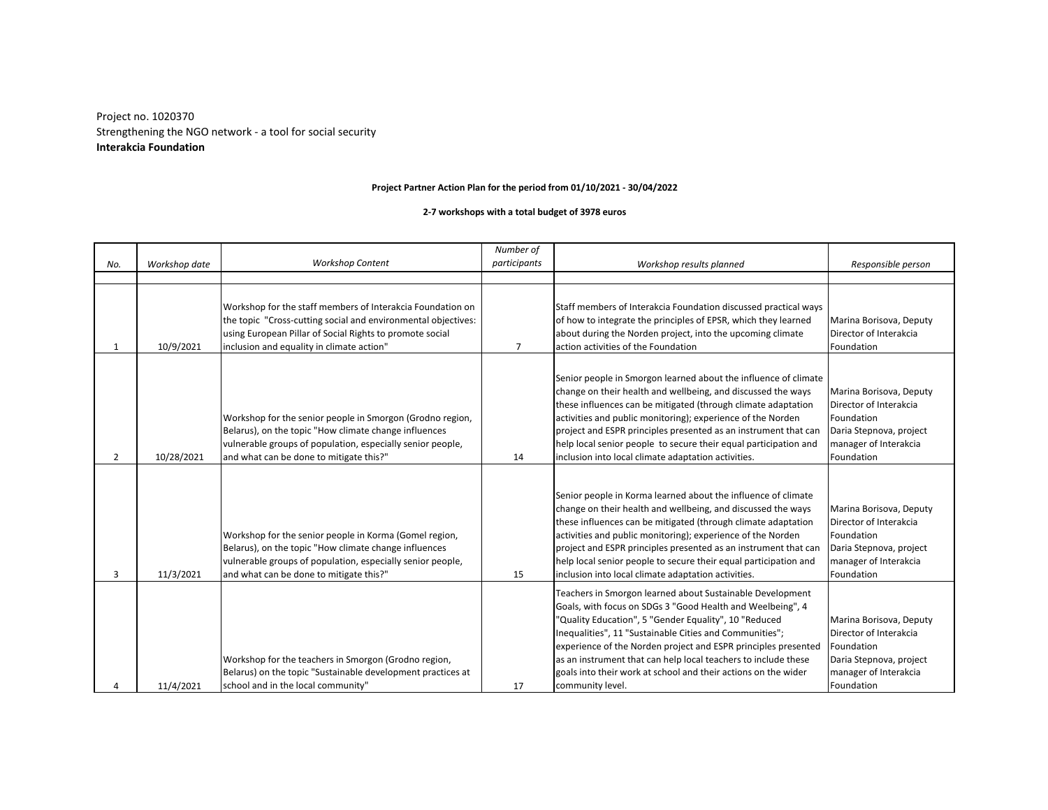## Strengthening the NGO network - a tool for social security Project no. 1020370 **Interakcia Foundation**

## **Project Partner Action Plan for the period from 01/10/2021 - 30/04/2022**

## **2-7 workshops with a total budget of 3978 euros**

| No. | Workshop date | <b>Workshop Content</b>                                                                                                                                                                                                              | Number of<br>participants | Workshop results planned                                                                                                                                                                                                                                                                                                                                                                                                                                              | Responsible person                                                                                                                |
|-----|---------------|--------------------------------------------------------------------------------------------------------------------------------------------------------------------------------------------------------------------------------------|---------------------------|-----------------------------------------------------------------------------------------------------------------------------------------------------------------------------------------------------------------------------------------------------------------------------------------------------------------------------------------------------------------------------------------------------------------------------------------------------------------------|-----------------------------------------------------------------------------------------------------------------------------------|
|     |               |                                                                                                                                                                                                                                      |                           |                                                                                                                                                                                                                                                                                                                                                                                                                                                                       |                                                                                                                                   |
| 1   | 10/9/2021     | Workshop for the staff members of Interakcia Foundation on<br>the topic "Cross-cutting social and environmental objectives:<br>using European Pillar of Social Rights to promote social<br>inclusion and equality in climate action" | $\overline{7}$            | Staff members of Interakcia Foundation discussed practical ways<br>of how to integrate the principles of EPSR, which they learned<br>about during the Norden project, into the upcoming climate<br>action activities of the Foundation                                                                                                                                                                                                                                | Marina Borisova, Deputy<br>Director of Interakcia<br>Foundation                                                                   |
| 2   | 10/28/2021    | Workshop for the senior people in Smorgon (Grodno region,<br>Belarus), on the topic "How climate change influences<br>vulnerable groups of population, especially senior people,<br>and what can be done to mitigate this?"          | 14                        | Senior people in Smorgon learned about the influence of climate<br>change on their health and wellbeing, and discussed the ways<br>these influences can be mitigated (through climate adaptation<br>activities and public monitoring); experience of the Norden<br>project and ESPR principles presented as an instrument that can<br>help local senior people to secure their equal participation and<br>inclusion into local climate adaptation activities.         | Marina Borisova, Deputy<br>Director of Interakcia<br>Foundation<br>Daria Stepnova, project<br>manager of Interakcia<br>Foundation |
| 3   | 11/3/2021     | Workshop for the senior people in Korma (Gomel region,<br>Belarus), on the topic "How climate change influences<br>vulnerable groups of population, especially senior people,<br>and what can be done to mitigate this?"             | 15                        | Senior people in Korma learned about the influence of climate<br>change on their health and wellbeing, and discussed the ways<br>these influences can be mitigated (through climate adaptation<br>activities and public monitoring); experience of the Norden<br>project and ESPR principles presented as an instrument that can<br>help local senior people to secure their equal participation and<br>inclusion into local climate adaptation activities.           | Marina Borisova, Deputy<br>Director of Interakcia<br>Foundation<br>Daria Stepnova, project<br>manager of Interakcia<br>Foundation |
|     | 11/4/2021     | Workshop for the teachers in Smorgon (Grodno region,<br>Belarus) on the topic "Sustainable development practices at<br>school and in the local community"                                                                            | 17                        | Teachers in Smorgon learned about Sustainable Development<br>Goals, with focus on SDGs 3 "Good Health and Weelbeing", 4<br>"Quality Education", 5 "Gender Equality", 10 "Reduced<br>Inequalities", 11 "Sustainable Cities and Communities";<br>experience of the Norden project and ESPR principles presented<br>as an instrument that can help local teachers to include these<br>goals into their work at school and their actions on the wider<br>community level. | Marina Borisova, Deputy<br>Director of Interakcia<br>Foundation<br>Daria Stepnova, project<br>manager of Interakcia<br>Foundation |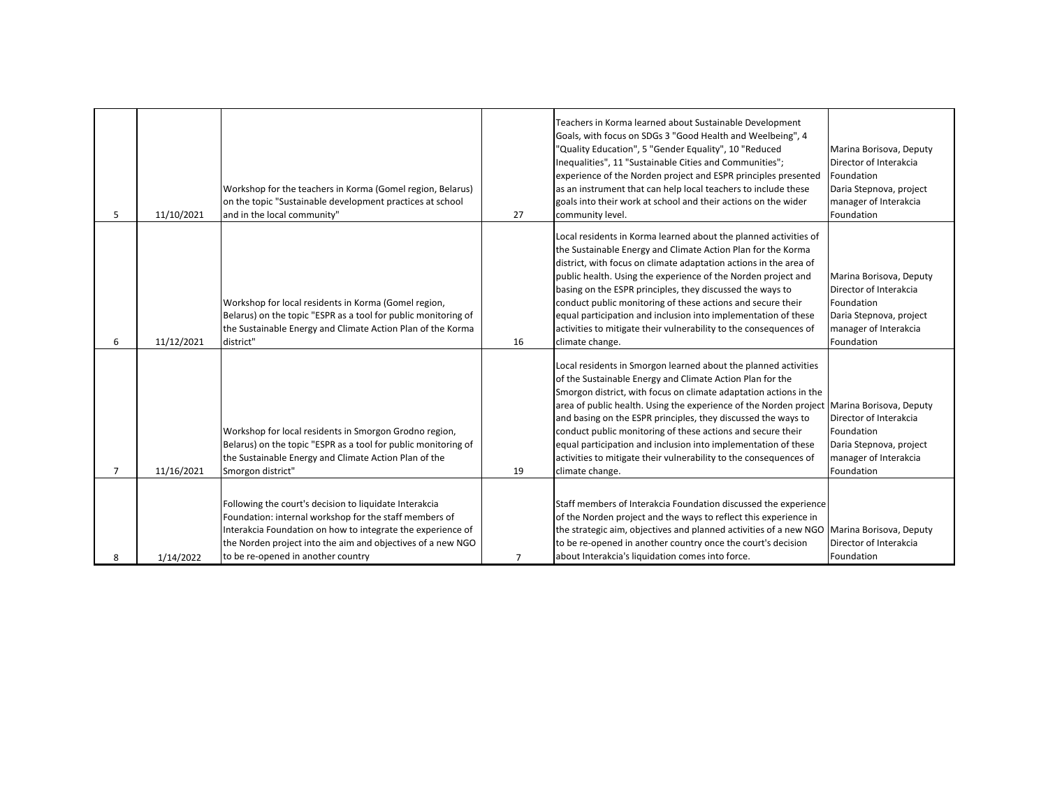| 5              | 11/10/2021 | Workshop for the teachers in Korma (Gomel region, Belarus)<br>on the topic "Sustainable development practices at school<br>and in the local community"                                                                                                                               | 27             | Teachers in Korma learned about Sustainable Development<br>Goals, with focus on SDGs 3 "Good Health and Weelbeing", 4<br>"Quality Education", 5 "Gender Equality", 10 "Reduced<br>Inequalities", 11 "Sustainable Cities and Communities";<br>experience of the Norden project and ESPR principles presented<br>as an instrument that can help local teachers to include these<br>goals into their work at school and their actions on the wider<br>community level.                                                                                                                      | Marina Borisova, Deputy<br>Director of Interakcia<br>Foundation<br>Daria Stepnova, project<br>manager of Interakcia<br>Foundation |
|----------------|------------|--------------------------------------------------------------------------------------------------------------------------------------------------------------------------------------------------------------------------------------------------------------------------------------|----------------|------------------------------------------------------------------------------------------------------------------------------------------------------------------------------------------------------------------------------------------------------------------------------------------------------------------------------------------------------------------------------------------------------------------------------------------------------------------------------------------------------------------------------------------------------------------------------------------|-----------------------------------------------------------------------------------------------------------------------------------|
| 6              | 11/12/2021 | Workshop for local residents in Korma (Gomel region,<br>Belarus) on the topic "ESPR as a tool for public monitoring of<br>the Sustainable Energy and Climate Action Plan of the Korma<br>district"                                                                                   | 16             | Local residents in Korma learned about the planned activities of<br>the Sustainable Energy and Climate Action Plan for the Korma<br>district, with focus on climate adaptation actions in the area of<br>public health. Using the experience of the Norden project and<br>basing on the ESPR principles, they discussed the ways to<br>conduct public monitoring of these actions and secure their<br>equal participation and inclusion into implementation of these<br>activities to mitigate their vulnerability to the consequences of<br>climate change.                             | Marina Borisova, Deputy<br>Director of Interakcia<br>Foundation<br>Daria Stepnova, project<br>manager of Interakcia<br>Foundation |
| $\overline{7}$ | 11/16/2021 | Workshop for local residents in Smorgon Grodno region,<br>Belarus) on the topic "ESPR as a tool for public monitoring of<br>the Sustainable Energy and Climate Action Plan of the<br>Smorgon district"                                                                               | 19             | Local residents in Smorgon learned about the planned activities<br>of the Sustainable Energy and Climate Action Plan for the<br>Smorgon district, with focus on climate adaptation actions in the<br>area of public health. Using the experience of the Norden project Marina Borisova, Deputy<br>and basing on the ESPR principles, they discussed the ways to<br>conduct public monitoring of these actions and secure their<br>equal participation and inclusion into implementation of these<br>activities to mitigate their vulnerability to the consequences of<br>climate change. | Director of Interakcia<br>Foundation<br>Daria Stepnova, project<br>manager of Interakcia<br>Foundation                            |
| 8              | 1/14/2022  | Following the court's decision to liquidate Interakcia<br>Foundation: internal workshop for the staff members of<br>Interakcia Foundation on how to integrate the experience of<br>the Norden project into the aim and objectives of a new NGO<br>to be re-opened in another country | $\overline{7}$ | Staff members of Interakcia Foundation discussed the experience<br>of the Norden project and the ways to reflect this experience in<br>the strategic aim, objectives and planned activities of a new NGO   Marina Borisova, Deputy<br>to be re-opened in another country once the court's decision<br>about Interakcia's liquidation comes into force.                                                                                                                                                                                                                                   | Director of Interakcia<br>Foundation                                                                                              |